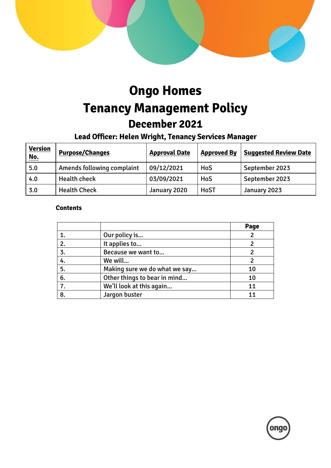

# **Ongo Homes Tenancy Management Policy December 2021**

## **Lead Officer: Helen Wright, Tenancy Services Manager**

| <b>Version</b><br><u>No.</u> | <b>Purpose/Changes</b>     | <b>Approval Date</b> | <b>Approved By</b> | <b>Suggested Review Date</b> |
|------------------------------|----------------------------|----------------------|--------------------|------------------------------|
| 5.0                          | Amends following complaint | 09/12/2021           | HoS                | September 2023               |
| 4.0                          | <b>Health check</b>        | 03/09/2021           | HoS                | September 2023               |
| 3.0                          | <b>Health Check</b>        | January 2020         | <b>HoST</b>        | January 2023                 |

#### **Contents**

|    |                               | Page |
|----|-------------------------------|------|
|    | Our policy is                 |      |
| 2. | It applies to                 |      |
| 3. | Because we want to            |      |
| 4. | We will                       |      |
| 5. | Making sure we do what we say | 10   |
| 6. | Other things to bear in mind  | 10   |
| 7. | We'll look at this again      | 11   |
| 8. | Jargon buster                 |      |

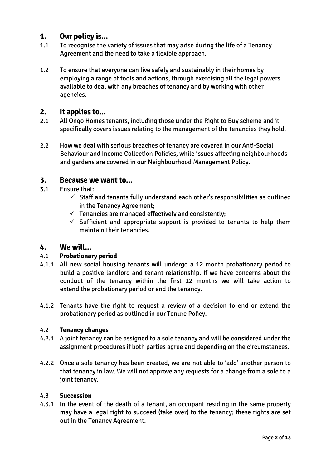## **1. Our policy is...**

- 1.1 To recognise the variety of issues that may arise during the life of a Tenancy Agreement and the need to take a flexible approach.
- 1.2 To ensure that everyone can live safely and sustainably in their homes by employing a range of tools and actions, through exercising all the legal powers available to deal with any breaches of tenancy and by working with other agencies.

## **2. It applies to...**

- 2.1 All Ongo Homes tenants, including those under the Right to Buy scheme and it specifically covers issues relating to the management of the tenancies they hold.
- 2.2 How we deal with serious breaches of tenancy are covered in our Anti-Social Behaviour and Income Collection Policies, while issues affecting neighbourhoods and gardens are covered in our Neighbourhood Management Policy.

## **3. Because we want to...**

- 3.1 Ensure that:
	- $\checkmark$  Staff and tenants fully understand each other's responsibilities as outlined in the Tenancy Agreement;
	- $\checkmark$  Tenancies are managed effectively and consistently;
	- $\checkmark$  Sufficient and appropriate support is provided to tenants to help them maintain their tenancies.

## **4. We will...**

#### 4.1 **Probationary period**

- 4.1.1 All new social housing tenants will undergo a 12 month probationary period to build a positive landlord and tenant relationship. If we have concerns about the conduct of the tenancy within the first 12 months we will take action to extend the probationary period or end the tenancy.
- 4.1.2 Tenants have the right to request a review of a decision to end or extend the probationary period as outlined in our Tenure Policy.

#### 4.2 **Tenancy changes**

- 4.2.1 A joint tenancy can be assigned to a sole tenancy and will be considered under the assignment procedures if both parties agree and depending on the circumstances.
- 4.2.2 Once a sole tenancy has been created, we are not able to 'add' another person to that tenancy in law. We will not approve any requests for a change from a sole to a joint tenancy.

#### 4.3 **Succession**

4.3.1 In the event of the death of a tenant, an occupant residing in the same property may have a legal right to succeed (take over) to the tenancy; these rights are set out in the Tenancy Agreement.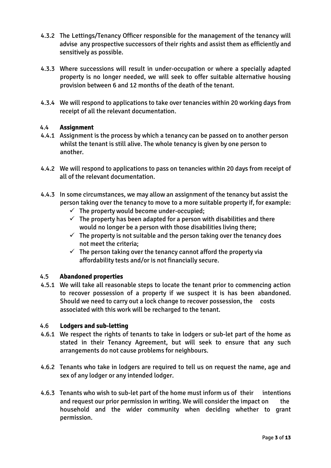- 4.3.2 The Lettings/Tenancy Officer responsible for the management of the tenancy will advise any prospective successors of their rights and assist them as efficiently and sensitively as possible.
- 4.3.3 Where successions will result in under-occupation or where a specially adapted property is no longer needed, we will seek to offer suitable alternative housing provision between 6 and 12 months of the death of the tenant.
- 4.3.4 We will respond to applications to take over tenancies within 20 working days from receipt of all the relevant documentation.

#### 4.4 **Assignment**

- 4.4.1 Assignment is the process by which a tenancy can be passed on to another person whilst the tenant is still alive. The whole tenancy is given by one person to another.
- 4.4.2 We will respond to applications to pass on tenancies within 20 days from receipt of all of the relevant documentation.
- 4.4.3 In some circumstances, we may allow an assignment of the tenancy but assist the person taking over the tenancy to move to a more suitable property if, for example:
	- $\checkmark$  The property would become under-occupied:
	- $\checkmark$  The property has been adapted for a person with disabilities and there would no longer be a person with those disabilities living there;
	- $\checkmark$  The property is not suitable and the person taking over the tenancy does not meet the criteria;
	- $\checkmark$  The person taking over the tenancy cannot afford the property via affordability tests and/or is not financially secure.

#### 4.5 **Abandoned properties**

4.5.1 We will take all reasonable steps to locate the tenant prior to commencing action to recover possession of a property if we suspect it is has been abandoned. Should we need to carry out a lock change to recover possession, the costs associated with this work will be recharged to the tenant.

#### 4.6 **Lodgers and sub-letting**

- 4.6.1 We respect the rights of tenants to take in lodgers or sub-let part of the home as stated in their Tenancy Agreement, but will seek to ensure that any such arrangements do not cause problems for neighbours.
- 4.6.2 Tenants who take in lodgers are required to tell us on request the name, age and sex of any lodger or any intended lodger.
- 4.6.3 Tenants who wish to sub-let part of the home must inform us of their intentions and request our prior permission in writing. We will consider the impact on the household and the wider community when deciding whether to grant permission.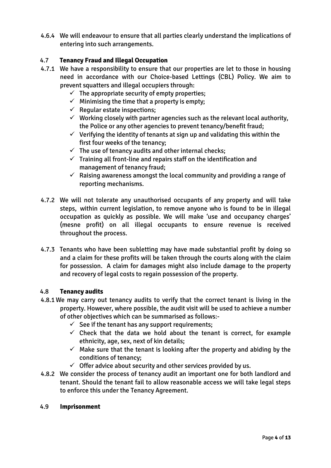4.6.4 We will endeavour to ensure that all parties clearly understand the implications of entering into such arrangements.

## 4.7 **Tenancy Fraud and Illegal Occupation**

- 4.7.1 We have a responsibility to ensure that our properties are let to those in housing need in accordance with our Choice-based Lettings (CBL) Policy. We aim to prevent squatters and illegal occupiers through:
	- $\checkmark$  The appropriate security of empty properties;
	- $\checkmark$  Minimising the time that a property is empty;
	- $\checkmark$  Regular estate inspections;
	- $\checkmark$  Working closely with partner agencies such as the relevant local authority, the Police or any other agencies to prevent tenancy/benefit fraud;
	- $\checkmark$  Verifying the identity of tenants at sign up and validating this within the first four weeks of the tenancy;
	- $\checkmark$  The use of tenancy audits and other internal checks:
	- $\checkmark$  Training all front-line and repairs staff on the identification and management of tenancy fraud;
	- $\checkmark$  Raising awareness amongst the local community and providing a range of reporting mechanisms.
- 4.7.2 We will not tolerate any unauthorised occupants of any property and will take steps, within current legislation, to remove anyone who is found to be in illegal occupation as quickly as possible. We will make 'use and occupancy charges' (mesne profit) on all illegal occupants to ensure revenue is received throughout the process.
- 4.7.3 Tenants who have been subletting may have made substantial profit by doing so and a claim for these profits will be taken through the courts along with the claim for possession. A claim for damages might also include damage to the property and recovery of legal costs to regain possession of the property.

#### 4.8 **Tenancy audits**

- 4.8.1 We may carry out tenancy audits to verify that the correct tenant is living in the property. However, where possible, the audit visit will be used to achieve a number of other objectives which can be summarised as follows:-
	- $\checkmark$  See if the tenant has any support requirements;
	- $\checkmark$  Check that the data we hold about the tenant is correct, for example ethnicity, age, sex, next of kin details;
	- $\checkmark$  Make sure that the tenant is looking after the property and abiding by the conditions of tenancy;
	- $\checkmark$  Offer advice about security and other services provided by us.
- 4.8.2 We consider the process of tenancy audit an important one for both landlord and tenant. Should the tenant fail to allow reasonable access we will take legal steps to enforce this under the Tenancy Agreement.

#### 4.9 **Imprisonment**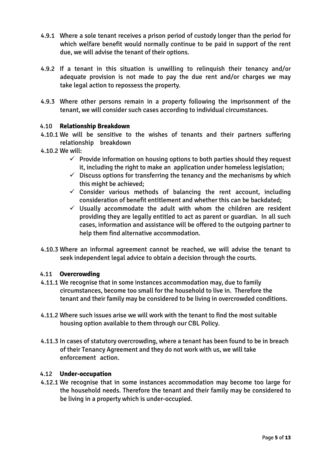- 4.9.1 Where a sole tenant receives a prison period of custody longer than the period for which welfare benefit would normally continue to be paid in support of the rent due, we will advise the tenant of their options.
- 4.9.2 If a tenant in this situation is unwilling to relinquish their tenancy and/or adequate provision is not made to pay the due rent and/or charges we may take legal action to repossess the property.
- 4.9.3 Where other persons remain in a property following the imprisonment of the tenant, we will consider such cases according to individual circumstances.

#### 4.10 **Relationship Breakdown**

- 4.10.1 We will be sensitive to the wishes of tenants and their partners suffering relationship breakdown
- 4.10.2 We will:
	- $\checkmark$  Provide information on housing options to both parties should they request it, including the right to make an application under homeless legislation;
	- $\checkmark$  Discuss options for transferring the tenancy and the mechanisms by which this might be achieved;
	- $\checkmark$  Consider various methods of balancing the rent account, including consideration of benefit entitlement and whether this can be backdated;
	- $\checkmark$  Usually accommodate the adult with whom the children are resident providing they are legally entitled to act as parent or guardian. In all such cases, information and assistance will be offered to the outgoing partner to help them find alternative accommodation.
- 4.10.3 Where an informal agreement cannot be reached, we will advise the tenant to seek independent legal advice to obtain a decision through the courts.

#### 4.11 **Overcrowding**

- 4.11.1 We recognise that in some instances accommodation may, due to family circumstances, become too small for the household to live in. Therefore the tenant and their family may be considered to be living in overcrowded conditions.
- 4.11.2 Where such issues arise we will work with the tenant to find the most suitable housing option available to them through our CBL Policy.
- 4.11.3 In cases of statutory overcrowding, where a tenant has been found to be in breach of their Tenancy Agreement and they do not work with us, we will take enforcement action.

#### 4.12 **Under-occupation**

4.12.1 We recognise that in some instances accommodation may become too large for the household needs. Therefore the tenant and their family may be considered to be living in a property which is under-occupied.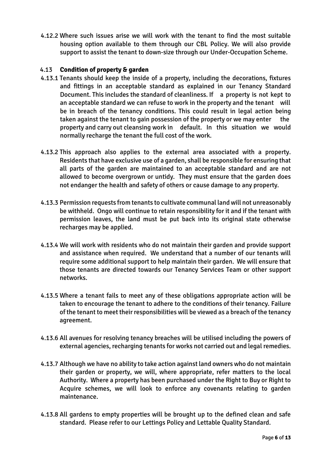4.12.2 Where such issues arise we will work with the tenant to find the most suitable housing option available to them through our CBL Policy. We will also provide support to assist the tenant to down-size through our Under-Occupation Scheme.

#### 4.13 **Condition of property & garden**

- 4.13.1 Tenants should keep the inside of a property, including the decorations, fixtures and fittings in an acceptable standard as explained in our Tenancy Standard Document. This includes the standard of cleanliness. If a property is not kept to an acceptable standard we can refuse to work in the property and the tenant will be in breach of the tenancy conditions. This could result in legal action being taken against the tenant to gain possession of the property or we may enter the property and carry out cleansing work in default. In this situation we would normally recharge the tenant the full cost of the work.
- 4.13.2 This approach also applies to the external area associated with a property. Residents that have exclusive use of a garden, shall be responsible for ensuring that all parts of the garden are maintained to an acceptable standard and are not allowed to become overgrown or untidy. They must ensure that the garden does not endanger the health and safety of others or cause damage to any property.
- 4.13.3 Permission requests from tenants to cultivate communal land will not unreasonably be withheld. Ongo will continue to retain responsibility for it and if the tenant with permission leaves, the land must be put back into its original state otherwise recharges may be applied.
- 4.13.4 We will work with residents who do not maintain their garden and provide support and assistance when required. We understand that a number of our tenants will require some additional support to help maintain their garden. We will ensure that those tenants are directed towards our Tenancy Services Team or other support networks.
- 4.13.5 Where a tenant fails to meet any of these obligations appropriate action will be taken to encourage the tenant to adhere to the conditions of their tenancy. Failure of the tenant to meet their responsibilities will be viewed as a breach of the tenancy agreement.
- 4.13.6 All avenues for resolving tenancy breaches will be utilised including the powers of external agencies, recharging tenants for works not carried out and legal remedies.
- 4.13.7 Although we have no ability to take action against land owners who do not maintain their garden or property, we will, where appropriate, refer matters to the local Authority. Where a property has been purchased under the Right to Buy or Right to Acquire schemes, we will look to enforce any covenants relating to garden maintenance.
- 4.13.8 All gardens to empty properties will be brought up to the defined clean and safe standard. Please refer to our Lettings Policy and Lettable Quality Standard.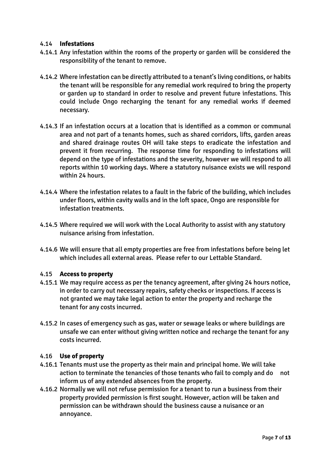#### 4.14 **Infestations**

- 4.14.1 Any infestation within the rooms of the property or garden will be considered the responsibility of the tenant to remove.
- 4.14.2 Where infestation can be directly attributed to a tenant's living conditions, or habits the tenant will be responsible for any remedial work required to bring the property or garden up to standard in order to resolve and prevent future infestations. This could include Ongo recharging the tenant for any remedial works if deemed necessary.
- 4.14.3 If an infestation occurs at a location that is identified as a common or communal area and not part of a tenants homes, such as shared corridors, lifts, garden areas and shared drainage routes OH will take steps to eradicate the infestation and prevent it from recurring. The response time for responding to infestations will depend on the type of infestations and the severity, however we will respond to all reports within 10 working days. Where a statutory nuisance exists we will respond within 24 hours.
- 4.14.4 Where the infestation relates to a fault in the fabric of the building, which includes under floors, within cavity walls and in the loft space, Ongo are responsible for infestation treatments.
- 4.14.5 Where required we will work with the Local Authority to assist with any statutory nuisance arising from infestation.
- 4.14.6 We will ensure that all empty properties are free from infestations before being let which includes all external areas. Please refer to our Lettable Standard.

#### 4.15 **Access to property**

- 4.15.1 We may require access as per the tenancy agreement, after giving 24 hours notice, in order to carry out necessary repairs, safety checks or inspections. If access is not granted we may take legal action to enter the property and recharge the tenant for any costs incurred.
- 4.15.2 In cases of emergency such as gas, water or sewage leaks or where buildings are unsafe we can enter without giving written notice and recharge the tenant for any costs incurred.

#### 4.16 **Use of property**

- 4.16.1 Tenants must use the property as their main and principal home. We will take action to terminate the tenancies of those tenants who fail to comply and do not inform us of any extended absences from the property.
- 4.16.2 Normally we will not refuse permission for a tenant to run a business from their property provided permission is first sought. However, action will be taken and permission can be withdrawn should the business cause a nuisance or an annoyance.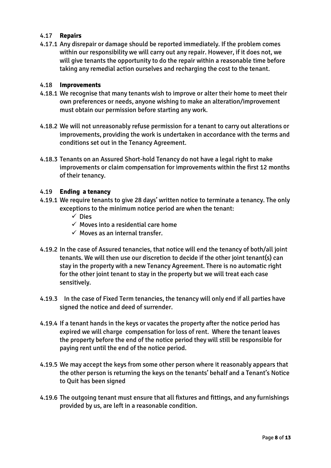#### 4.17 **Repairs**

4.17.1 Any disrepair or damage should be reported immediately. If the problem comes within our responsibility we will carry out any repair. However, if it does not, we will give tenants the opportunity to do the repair within a reasonable time before taking any remedial action ourselves and recharging the cost to the tenant.

#### 4.18 **Improvements**

- 4.18.1 We recognise that many tenants wish to improve or alter their home to meet their own preferences or needs, anyone wishing to make an alteration/improvement must obtain our permission before starting any work.
- 4.18.2 We will not unreasonably refuse permission for a tenant to carry out alterations or improvements, providing the work is undertaken in accordance with the terms and conditions set out in the Tenancy Agreement.
- 4.18.3 Tenants on an Assured Short-hold Tenancy do not have a legal right to make improvements or claim compensation for improvements within the first 12 months of their tenancy.

#### 4.19 **Ending a tenancy**

- 4.19.1 We require tenants to give 28 days' written notice to terminate a tenancy. The only exceptions to the minimum notice period are when the tenant:
	- $\checkmark$  Dies
	- $\checkmark$  Moves into a residential care home
	- $\checkmark$  Moves as an internal transfer.
- 4.19.2 In the case of Assured tenancies, that notice will end the tenancy of both/all joint tenants. We will then use our discretion to decide if the other joint tenant(s) can stay in the property with a new Tenancy Agreement. There is no automatic right for the other joint tenant to stay in the property but we will treat each case sensitively.
- 4.19.3 In the case of Fixed Term tenancies, the tenancy will only end if all parties have signed the notice and deed of surrender.
- 4.19.4 If a tenant hands in the keys or vacates the property after the notice period has expired we will charge compensation for loss of rent. Where the tenant leaves the property before the end of the notice period they will still be responsible for paying rent until the end of the notice period.
- 4.19.5 We may accept the keys from some other person where it reasonably appears that the other person is returning the keys on the tenants' behalf and a Tenant's Notice to Quit has been signed
- 4.19.6 The outgoing tenant must ensure that all fixtures and fittings, and any furnishings provided by us, are left in a reasonable condition.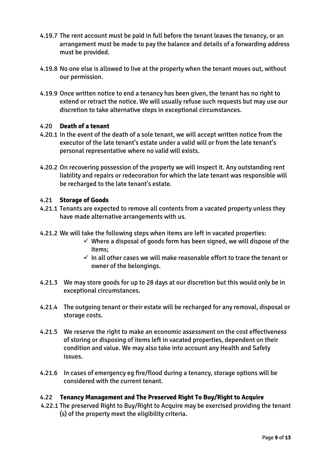- 4.19.7 The rent account must be paid in full before the tenant leaves the tenancy, or an arrangement must be made to pay the balance and details of a forwarding address must be provided.
- 4.19.8 No one else is allowed to live at the property when the tenant moves out, without our permission.
- 4.19.9 Once written notice to end a tenancy has been given, the tenant has no right to extend or retract the notice. We will usually refuse such requests but may use our discretion to take alternative steps in exceptional circumstances.

## 4.20 **Death of a tenant**

- 4.20.1 In the event of the death of a sole tenant, we will accept written notice from the executor of the late tenant's estate under a valid will or from the late tenant's personal representative where no valid will exists.
- 4.20.2 On recovering possession of the property we will inspect it. Any outstanding rent liability and repairs or redecoration for which the late tenant was responsible will be recharged to the late tenant's estate.

#### 4.21 **Storage of Goods**

- 4.21.1 Tenants are expected to remove all contents from a vacated property unless they have made alternative arrangements with us.
- 4.21.2 We will take the following steps when items are left in vacated properties:
	- $\checkmark$  Where a disposal of goods form has been signed, we will dispose of the items;
	- $\checkmark$  In all other cases we will make reasonable effort to trace the tenant or owner of the belongings.
- 4.21.3 We may store goods for up to 28 days at our discretion but this would only be in exceptional circumstances.
- 4.21.4 The outgoing tenant or their estate will be recharged for any removal, disposal or storage costs.
- 4.21.5 We reserve the right to make an economic assessment on the cost effectiveness of storing or disposing of items left in vacated properties, dependent on their condition and value. We may also take into account any Health and Safety issues.
- 4.21.6 In cases of emergency eg fire/flood during a tenancy, storage options will be considered with the current tenant.

## 4.22 **Tenancy Management and The Preserved Right To Buy/Right to Acquire**

4.22.1 The preserved Right to Buy/Right to Acquire may be exercised providing the tenant (s) of the property meet the eligibility criteria.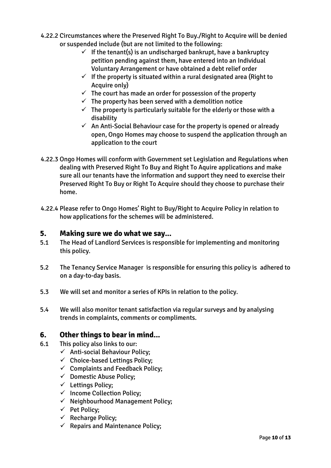- 4.22.2 Circumstances where the Preserved Right To Buy./Right to Acquire will be denied or suspended include (but are not limited to the following:
	- $\checkmark$  If the tenant(s) is an undischarged bankrupt, have a bankruptcy petition pending against them, have entered into an Individual Voluntary Arrangement or have obtained a debt relief order
	- $\checkmark$  If the property is situated within a rural designated area (Right to Acquire only)
	- $\checkmark$  The court has made an order for possession of the property
	- $\checkmark$  The property has been served with a demolition notice
	- $\checkmark$  The property is particularly suitable for the elderly or those with a disability
	- $\checkmark$  An Anti-Social Behaviour case for the property is opened or already open, Ongo Homes may choose to suspend the application through an application to the court
- 4.22.3 Ongo Homes will conform with Government set Legislation and Regulations when dealing with Preserved Right To Buy and Right To Aquire applications and make sure all our tenants have the information and support they need to exercise their Preserved Right To Buy or Right To Acquire should they choose to purchase their home.
- 4.22.4 Please refer to Ongo Homes' Right to Buy/Right to Acquire Policy in relation to how applications for the schemes will be administered.

## **5. Making sure we do what we say...**

- 5.1 The Head of Landlord Services is responsible for implementing and monitoring this policy.
- 5.2 The Tenancy Service Manager is responsible for ensuring this policy is adhered to on a day-to-day basis.
- 5.3 We will set and monitor a series of KPIs in relation to the policy.
- 5.4 We will also monitor tenant satisfaction via regular surveys and by analysing trends in complaints, comments or compliments.

## **6. Other things to bear in mind...**

- 6.1 This policy also links to our:
	- $\checkmark$  Anti-social Behaviour Policy;
	- $\checkmark$  Choice-based Lettings Policy;
	- $\checkmark$  Complaints and Feedback Policy;
	- $\checkmark$  Domestic Abuse Policy;
	- $\checkmark$  Lettings Policy;
	- $\checkmark$  Income Collection Policy;
	- $\checkmark$  Neighbourhood Management Policy;
	- $\checkmark$  Pet Policy;
	- $\checkmark$  Recharge Policy;
	- $\checkmark$  Repairs and Maintenance Policy;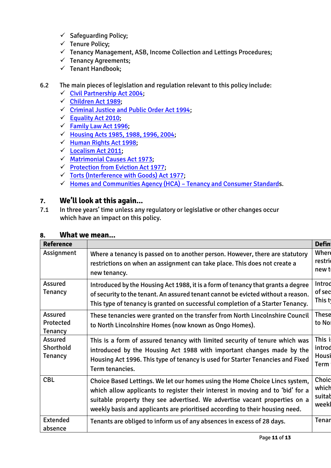- $\checkmark$  Safeguarding Policy;
- $\checkmark$  Tenure Policy;
- $\checkmark$  Tenancy Management, ASB, Income Collection and Lettings Procedures;
- $\checkmark$  Tenancy Agreements;
- $\checkmark$  Tenant Handbook;

## 6.2 The main pieces of legislation and regulation relevant to this policy include:

- $\checkmark$  [Civil Partnership Act 2004;](http://www.legislation.gov.uk/ukpga/2004/33/contents)
- $\checkmark$  [Children Act 1989;](http://www.legislation.gov.uk/ukpga/1989/41/contents)
- $\checkmark$  [Criminal Justice and Public Order Act 1994;](http://www.legislation.gov.uk/ukpga/1994/33/contents)
- $\checkmark$  [Equality Act 2010;](http://www.legislation.gov.uk/ukpga/2010/15/contents)
- $\checkmark$  [Family Law Act 1996;](http://www.legislation.gov.uk/ukpga/1996/27/contents)
- $\checkmark$  [Housing Acts 1985, 1988, 1996, 2004;](http://www.legislation.gov.uk/all?title=housing%20act)
- $\checkmark$  [Human Rights Act 1998;](http://www.legislation.gov.uk/ukpga/1998/42/contents)
- $\checkmark$  [Localism Act 2011;](http://www.legislation.gov.uk/ukpga/2011/20/contents)
- [Matrimonial Causes Act 1973;](http://www.legislation.gov.uk/ukpga/1973/18/contents)
- $\checkmark$  [Protection from Eviction Act 1977;](http://www.legislation.gov.uk/ukpga/1977/43/contents)
- [Torts \(Interference with Goods\) Act 1977;](http://www.legislation.gov.uk/ukpga/1977/32)
- $\checkmark$  [Homes and Communities Agency \(HCA\)](http://www.tenantservicesauthority.org/server/show/conWebDoc.21851) Tenancy and Consumer Standards.

## **7. We'll look at this again...**

7.1 In three years' time unless any regulatory or legislative or other changes occur which have an impact on this policy.

| Reference                                     |                                                                                                                                                                                                                                                                                                                             | <b>Defin</b>                      |
|-----------------------------------------------|-----------------------------------------------------------------------------------------------------------------------------------------------------------------------------------------------------------------------------------------------------------------------------------------------------------------------------|-----------------------------------|
| Assignment                                    | Where a tenancy is passed on to another person. However, there are statutory<br>restrictions on when an assignment can take place. This does not create a<br>new tenancy.                                                                                                                                                   | Where<br>restrio<br>new t         |
| <b>Assured</b><br><b>Tenancy</b>              | Introduced by the Housing Act 1988, it is a form of tenancy that grants a degree<br>of security to the tenant. An assured tenant cannot be evicted without a reason.<br>This type of tenancy is granted on successful completion of a Starter Tenancy.                                                                      | Introd<br>of sec<br>This ty       |
| <b>Assured</b><br>Protected<br><b>Tenancy</b> | These tenancies were granted on the transfer from North Lincolnshire Council<br>to North Lincolnshire Homes (now known as Ongo Homes).                                                                                                                                                                                      | <b>These</b><br>to Not            |
| Assured<br>Shorthold<br><b>Tenancy</b>        | This is a form of assured tenancy with limited security of tenure which was<br>introduced by the Housing Act 1988 with important changes made by the<br>Housing Act 1996. This type of tenancy is used for Starter Tenancies and Fixed<br>Term tenancies.                                                                   | This i<br>introd<br>Housi<br>Term |
| <b>CBL</b>                                    | Choice Based Lettings. We let our homes using the Home Choice Lincs system,<br>which allow applicants to register their interest in moving and to 'bid' for a<br>suitable property they see advertised. We advertise vacant properties on a<br>weekly basis and applicants are prioritised according to their housing need. | Choic<br>which<br>suitab<br>weekl |
| Extended<br>absence                           | Tenants are obliged to inform us of any absences in excess of 28 days.                                                                                                                                                                                                                                                      | <b>Tenar</b>                      |

## **8. What we mean...**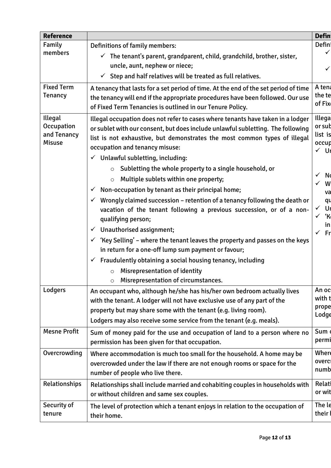| <b>Reference</b>                                      |                                                                                                                                                                                                                                                                                                                                                                                                                                                                                                                                                                                                                                                                                                                                                                                                                                                                                                                                                                                                                              | <b>Defin</b>                                                                                                                                                                                       |
|-------------------------------------------------------|------------------------------------------------------------------------------------------------------------------------------------------------------------------------------------------------------------------------------------------------------------------------------------------------------------------------------------------------------------------------------------------------------------------------------------------------------------------------------------------------------------------------------------------------------------------------------------------------------------------------------------------------------------------------------------------------------------------------------------------------------------------------------------------------------------------------------------------------------------------------------------------------------------------------------------------------------------------------------------------------------------------------------|----------------------------------------------------------------------------------------------------------------------------------------------------------------------------------------------------|
| Family<br>members                                     | Definitions of family members:<br>$\checkmark$ The tenant's parent, grandparent, child, grandchild, brother, sister,<br>uncle, aunt, nephew or niece;<br>Step and half relatives will be treated as full relatives.<br>$\checkmark$                                                                                                                                                                                                                                                                                                                                                                                                                                                                                                                                                                                                                                                                                                                                                                                          | Defini<br>✓                                                                                                                                                                                        |
| <b>Fixed Term</b><br><b>Tenancy</b>                   | A tenancy that lasts for a set period of time. At the end of the set period of time<br>the tenancy will end if the appropriate procedures have been followed. Our use<br>of Fixed Term Tenancies is outlined in our Tenure Policy.                                                                                                                                                                                                                                                                                                                                                                                                                                                                                                                                                                                                                                                                                                                                                                                           | A tena<br>the te<br>of Fix                                                                                                                                                                         |
| Illegal<br>Occupation<br>and Tenancy<br><b>Misuse</b> | Illegal occupation does not refer to cases where tenants have taken in a lodger<br>or sublet with our consent, but does include unlawful subletting. The following<br>list is not exhaustive, but demonstrates the most common types of illegal<br>occupation and tenancy misuse:<br>$\checkmark$ Unlawful subletting, including:<br>$\circ$ Subletting the whole property to a single household, or<br>Multiple sublets within one property;<br>$\circ$<br>Non-occupation by tenant as their principal home;<br>$\checkmark$<br>Wrongly claimed succession - retention of a tenancy following the death or<br>vacation of the tenant following a previous succession, or of a non-<br>qualifying person;<br>Unauthorised assignment;<br>$\checkmark$<br>$\checkmark$ 'Key Selling' – where the tenant leaves the property and passes on the keys<br>in return for a one-off lump sum payment or favour;<br>$\checkmark$ Fraudulently obtaining a social housing tenancy, including<br>$\circ$ Misrepresentation of identity | <b>Illega</b><br>or sub<br>list is<br>occup<br>$\checkmark$ Ur<br>$\checkmark$<br><b>Nd</b><br>$\checkmark$<br>W<br>va<br>qu<br>$\checkmark$<br>Ur<br>ʻK<br>$\checkmark$<br>inl<br>$\checkmark$ Fr |
| Lodgers<br><b>Mesne Profit</b>                        | Misrepresentation of circumstances.<br>$\circ$<br>An occupant who, although he/she has his/her own bedroom actually lives<br>with the tenant. A lodger will not have exclusive use of any part of the<br>property but may share some with the tenant (e.g. living room).<br>Lodgers may also receive some service from the tenant (e.g. meals).<br>Sum of money paid for the use and occupation of land to a person where no                                                                                                                                                                                                                                                                                                                                                                                                                                                                                                                                                                                                 | An oc<br>with t<br>prope<br>Lodge<br>Sum                                                                                                                                                           |
| Overcrowding                                          | permission has been given for that occupation.<br>Where accommodation is much too small for the household. A home may be<br>overcrowded under the law if there are not enough rooms or space for the<br>number of people who live there.                                                                                                                                                                                                                                                                                                                                                                                                                                                                                                                                                                                                                                                                                                                                                                                     | permi<br>Where<br>overci<br>numb                                                                                                                                                                   |
| Relationships                                         | Relationships shall include married and cohabiting couples in households with<br>or without children and same sex couples.                                                                                                                                                                                                                                                                                                                                                                                                                                                                                                                                                                                                                                                                                                                                                                                                                                                                                                   | Relati<br>or wit                                                                                                                                                                                   |
| Security of<br>tenure                                 | The level of protection which a tenant enjoys in relation to the occupation of<br>their home.                                                                                                                                                                                                                                                                                                                                                                                                                                                                                                                                                                                                                                                                                                                                                                                                                                                                                                                                | The le<br>their                                                                                                                                                                                    |